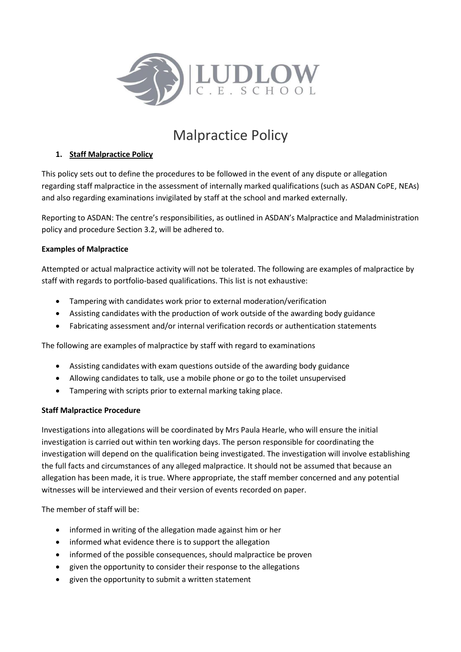

# Malpractice Policy

## **1. Staff Malpractice Policy**

This policy sets out to define the procedures to be followed in the event of any dispute or allegation regarding staff malpractice in the assessment of internally marked qualifications (such as ASDAN CoPE, NEAs) and also regarding examinations invigilated by staff at the school and marked externally.

Reporting to ASDAN: The centre's responsibilities, as outlined in ASDAN's Malpractice and Maladministration policy and procedure Section 3.2, will be adhered to.

### **Examples of Malpractice**

Attempted or actual malpractice activity will not be tolerated. The following are examples of malpractice by staff with regards to portfolio-based qualifications. This list is not exhaustive:

- Tampering with candidates work prior to external moderation/verification
- Assisting candidates with the production of work outside of the awarding body guidance
- Fabricating assessment and/or internal verification records or authentication statements

The following are examples of malpractice by staff with regard to examinations

- Assisting candidates with exam questions outside of the awarding body guidance
- Allowing candidates to talk, use a mobile phone or go to the toilet unsupervised
- Tampering with scripts prior to external marking taking place.

#### **Staff Malpractice Procedure**

Investigations into allegations will be coordinated by Mrs Paula Hearle, who will ensure the initial investigation is carried out within ten working days. The person responsible for coordinating the investigation will depend on the qualification being investigated. The investigation will involve establishing the full facts and circumstances of any alleged malpractice. It should not be assumed that because an allegation has been made, it is true. Where appropriate, the staff member concerned and any potential witnesses will be interviewed and their version of events recorded on paper.

The member of staff will be:

- informed in writing of the allegation made against him or her
- informed what evidence there is to support the allegation
- informed of the possible consequences, should malpractice be proven
- given the opportunity to consider their response to the allegations
- given the opportunity to submit a written statement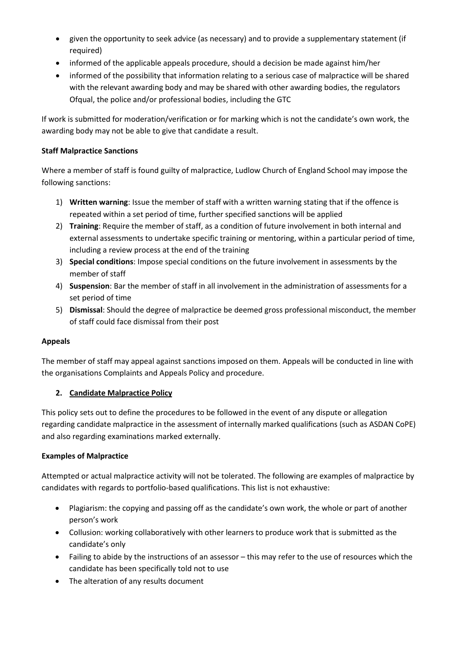- given the opportunity to seek advice (as necessary) and to provide a supplementary statement (if required)
- informed of the applicable appeals procedure, should a decision be made against him/her
- informed of the possibility that information relating to a serious case of malpractice will be shared with the relevant awarding body and may be shared with other awarding bodies, the regulators Ofqual, the police and/or professional bodies, including the GTC

If work is submitted for moderation/verification or for marking which is not the candidate's own work, the awarding body may not be able to give that candidate a result.

#### **Staff Malpractice Sanctions**

Where a member of staff is found guilty of malpractice, Ludlow Church of England School may impose the following sanctions:

- 1) **Written warning**: Issue the member of staff with a written warning stating that if the offence is repeated within a set period of time, further specified sanctions will be applied
- 2) **Training**: Require the member of staff, as a condition of future involvement in both internal and external assessments to undertake specific training or mentoring, within a particular period of time, including a review process at the end of the training
- 3) **Special conditions**: Impose special conditions on the future involvement in assessments by the member of staff
- 4) **Suspension**: Bar the member of staff in all involvement in the administration of assessments for a set period of time
- 5) **Dismissal**: Should the degree of malpractice be deemed gross professional misconduct, the member of staff could face dismissal from their post

#### **Appeals**

The member of staff may appeal against sanctions imposed on them. Appeals will be conducted in line with the organisations Complaints and Appeals Policy and procedure.

## **2. Candidate Malpractice Policy**

This policy sets out to define the procedures to be followed in the event of any dispute or allegation regarding candidate malpractice in the assessment of internally marked qualifications (such as ASDAN CoPE) and also regarding examinations marked externally.

#### **Examples of Malpractice**

Attempted or actual malpractice activity will not be tolerated. The following are examples of malpractice by candidates with regards to portfolio-based qualifications. This list is not exhaustive:

- Plagiarism: the copying and passing off as the candidate's own work, the whole or part of another person's work
- Collusion: working collaboratively with other learners to produce work that is submitted as the candidate's only
- Failing to abide by the instructions of an assessor this may refer to the use of resources which the candidate has been specifically told not to use
- The alteration of any results document